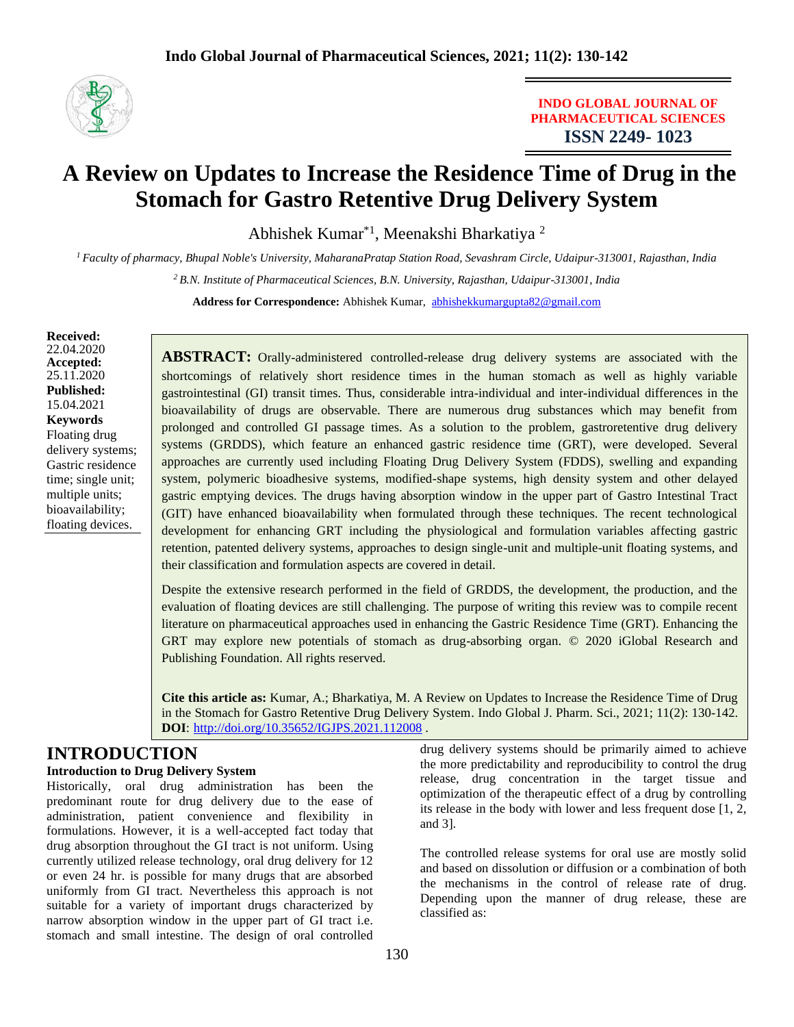

**INDO GLOBAL JOURNAL OF PHARMACEUTICAL SCIENCES ISSN 2249- 1023**

# **A Review on Updates to Increase the Residence Time of Drug in the Stomach for Gastro Retentive Drug Delivery System**

Abhishek Kumar<sup>\*1</sup>, Meenakshi Bharkatiya<sup>2</sup>

*<sup>1</sup>Faculty of pharmacy, Bhupal Noble's University, MaharanaPratap Station Road, Sevashram Circle, Udaipur-313001, Rajasthan, India*

*<sup>2</sup>B.N. Institute of Pharmaceutical Sciences, B.N. University, Rajasthan, Udaipur-313001, India*

**Address for Correspondence:** Abhishek Kumar, [abhishekkumargupta82@gmail.com](mailto:abhishekkumargupta82@gmail.com)

#### **Received:** 22.04.2020 **Accepted:**  25.11.2020 **Published:** 15.04.2021 **Keywords** Floating drug delivery systems; Gastric residence time; single unit; multiple units; bioavailability; floating devices.

**ABSTRACT:** Orally-administered controlled-release drug delivery systems are associated with the shortcomings of relatively short residence times in the human stomach as well as highly variable gastrointestinal (GI) transit times. Thus, considerable intra-individual and inter-individual differences in the bioavailability of drugs are observable. There are numerous drug substances which may benefit from prolonged and controlled GI passage times. As a solution to the problem, gastroretentive drug delivery systems (GRDDS), which feature an enhanced gastric residence time (GRT), were developed. Several approaches are currently used including Floating Drug Delivery System (FDDS), swelling and expanding system, polymeric bioadhesive systems, modified-shape systems, high density system and other delayed gastric emptying devices. The drugs having absorption window in the upper part of Gastro Intestinal Tract (GIT) have enhanced bioavailability when formulated through these techniques. The recent technological development for enhancing GRT including the physiological and formulation variables affecting gastric retention, patented delivery systems, approaches to design single-unit and multiple-unit floating systems, and their classification and formulation aspects are covered in detail.

Despite the extensive research performed in the field of GRDDS, the development, the production, and the evaluation of floating devices are still challenging. The purpose of writing this review was to compile recent literature on pharmaceutical approaches used in enhancing the Gastric Residence Time (GRT). Enhancing the GRT may explore new potentials of stomach as drug-absorbing organ. © 2020 iGlobal Research and Publishing Foundation. All rights reserved.

**Cite this article as:** Kumar, A.; Bharkatiya, M. A Review on Updates to Increase the Residence Time of Drug in the Stomach for Gastro Retentive Drug Delivery System. Indo Global J. Pharm. Sci., 2021; 11(2): 130-142. **DOI**: <http://doi.org/10.35652/IGJPS.2021.112008> .

and 3].

## **INTRODUCTION**

#### **Introduction to Drug Delivery System**

Historically, oral drug administration has been the predominant route for drug delivery due to the ease of administration, patient convenience and flexibility in formulations. However, it is a well-accepted fact today that drug absorption throughout the GI tract is not uniform. Using currently utilized release technology, oral drug delivery for 12 or even 24 hr. is possible for many drugs that are absorbed uniformly from GI tract. Nevertheless this approach is not suitable for a variety of important drugs characterized by narrow absorption window in the upper part of GI tract i.e. stomach and small intestine. The design of oral controlled drug delivery systems should be primarily aimed to achieve the more predictability and reproducibility to control the drug release, drug concentration in the target tissue and optimization of the therapeutic effect of a drug by controlling its release in the body with lower and less frequent dose [1, 2,

The controlled release systems for oral use are mostly solid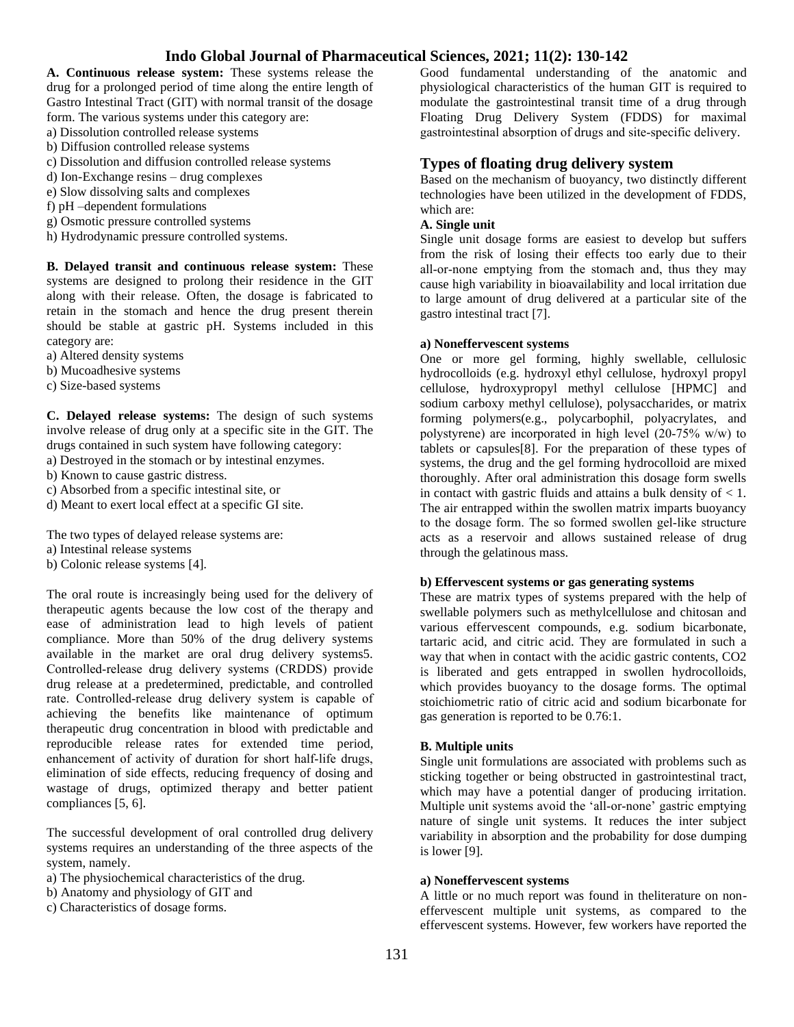**A. Continuous release system:** These systems release the drug for a prolonged period of time along the entire length of Gastro Intestinal Tract (GIT) with normal transit of the dosage

form. The various systems under this category are:

- a) Dissolution controlled release systems
- b) Diffusion controlled release systems
- c) Dissolution and diffusion controlled release systems
- d) Ion-Exchange resins drug complexes
- e) Slow dissolving salts and complexes
- f) pH –dependent formulations
- g) Osmotic pressure controlled systems
- h) Hydrodynamic pressure controlled systems.

**B. Delayed transit and continuous release system:** These systems are designed to prolong their residence in the GIT along with their release. Often, the dosage is fabricated to retain in the stomach and hence the drug present therein should be stable at gastric pH. Systems included in this category are:

- a) Altered density systems
- b) Mucoadhesive systems
- c) Size-based systems

**C. Delayed release systems:** The design of such systems involve release of drug only at a specific site in the GIT. The drugs contained in such system have following category:

a) Destroyed in the stomach or by intestinal enzymes.

- b) Known to cause gastric distress.
- c) Absorbed from a specific intestinal site, or
- d) Meant to exert local effect at a specific GI site.

The two types of delayed release systems are:

- a) Intestinal release systems
- b) Colonic release systems [4].

The oral route is increasingly being used for the delivery of therapeutic agents because the low cost of the therapy and ease of administration lead to high levels of patient compliance. More than 50% of the drug delivery systems available in the market are oral drug delivery systems5. Controlled‐release drug delivery systems (CRDDS) provide drug release at a predetermined, predictable, and controlled rate. Controlled‐release drug delivery system is capable of achieving the benefits like maintenance of optimum therapeutic drug concentration in blood with predictable and reproducible release rates for extended time period, enhancement of activity of duration for short half-life drugs, elimination of side effects, reducing frequency of dosing and wastage of drugs, optimized therapy and better patient compliances [5, 6].

The successful development of oral controlled drug delivery systems requires an understanding of the three aspects of the system, namely.

- a) The physiochemical characteristics of the drug.
- b) Anatomy and physiology of GIT and
- c) Characteristics of dosage forms.

Good fundamental understanding of the anatomic and physiological characteristics of the human GIT is required to modulate the gastrointestinal transit time of a drug through Floating Drug Delivery System (FDDS) for maximal gastrointestinal absorption of drugs and site‐specific delivery.

## **Types of floating drug delivery system**

Based on the mechanism of buoyancy, two distinctly different technologies have been utilized in the development of FDDS, which are:

#### **A. Single unit**

Single unit dosage forms are easiest to develop but suffers from the risk of losing their effects too early due to their all‐or‐none emptying from the stomach and, thus they may cause high variability in bioavailability and local irritation due to large amount of drug delivered at a particular site of the gastro intestinal tract [7].

#### **a) Noneffervescent systems**

One or more gel forming, highly swellable, cellulosic hydrocolloids (e.g. hydroxyl ethyl cellulose, hydroxyl propyl cellulose, hydroxypropyl methyl cellulose [HPMC] and sodium carboxy methyl cellulose), polysaccharides, or matrix forming polymers(e.g., polycarbophil, polyacrylates, and polystyrene) are incorporated in high level (20‐75% w/w) to tablets or capsules[8]. For the preparation of these types of systems, the drug and the gel forming hydrocolloid are mixed thoroughly. After oral administration this dosage form swells in contact with gastric fluids and attains a bulk density of  $< 1$ . The air entrapped within the swollen matrix imparts buoyancy to the dosage form. The so formed swollen gel‐like structure acts as a reservoir and allows sustained release of drug through the gelatinous mass.

#### **b) Effervescent systems or gas generating systems**

These are matrix types of systems prepared with the help of swellable polymers such as methylcellulose and chitosan and various effervescent compounds, e.g. sodium bicarbonate, tartaric acid, and citric acid. They are formulated in such a way that when in contact with the acidic gastric contents, CO2 is liberated and gets entrapped in swollen hydrocolloids, which provides buoyancy to the dosage forms. The optimal stoichiometric ratio of citric acid and sodium bicarbonate for gas generation is reported to be 0.76:1.

#### **B. Multiple units**

Single unit formulations are associated with problems such as sticking together or being obstructed in gastrointestinal tract, which may have a potential danger of producing irritation. Multiple unit systems avoid the 'all-or-none' gastric emptying nature of single unit systems. It reduces the inter subject variability in absorption and the probability for dose dumping is lower [9].

#### **a) Noneffervescent systems**

A little or no much report was found in theliterature on noneffervescent multiple unit systems, as compared to the effervescent systems. However, few workers have reported the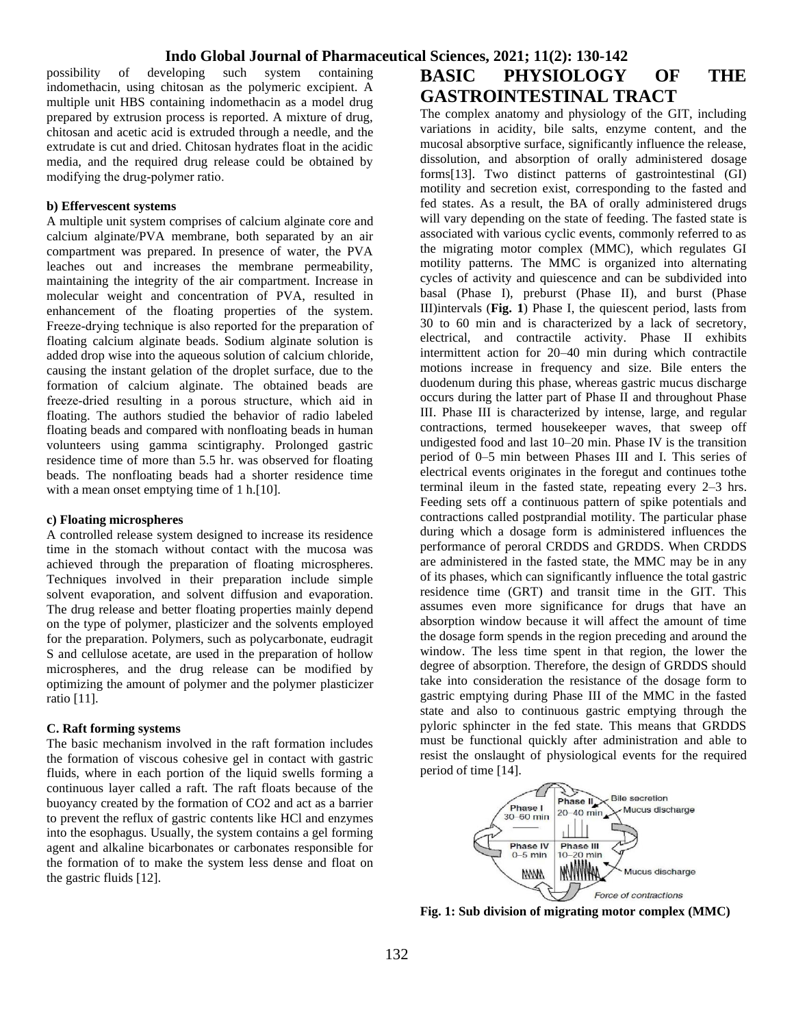possibility of developing such system containing indomethacin, using chitosan as the polymeric excipient. A multiple unit HBS containing indomethacin as a model drug prepared by extrusion process is reported. A mixture of drug, chitosan and acetic acid is extruded through a needle, and the extrudate is cut and dried. Chitosan hydrates float in the acidic media, and the required drug release could be obtained by modifying the drug‐polymer ratio.

#### **b) Effervescent systems**

A multiple unit system comprises of calcium alginate core and calcium alginate/PVA membrane, both separated by an air compartment was prepared. In presence of water, the PVA leaches out and increases the membrane permeability, maintaining the integrity of the air compartment. Increase in molecular weight and concentration of PVA, resulted in enhancement of the floating properties of the system. Freeze-drying technique is also reported for the preparation of floating calcium alginate beads. Sodium alginate solution is added drop wise into the aqueous solution of calcium chloride, causing the instant gelation of the droplet surface, due to the formation of calcium alginate. The obtained beads are freeze‐dried resulting in a porous structure, which aid in floating. The authors studied the behavior of radio labeled floating beads and compared with nonfloating beads in human volunteers using gamma scintigraphy. Prolonged gastric residence time of more than 5.5 hr. was observed for floating beads. The nonfloating beads had a shorter residence time with a mean onset emptying time of 1 h.[10].

#### **c) Floating microspheres**

A controlled release system designed to increase its residence time in the stomach without contact with the mucosa was achieved through the preparation of floating microspheres. Techniques involved in their preparation include simple solvent evaporation, and solvent diffusion and evaporation. The drug release and better floating properties mainly depend on the type of polymer, plasticizer and the solvents employed for the preparation. Polymers, such as polycarbonate, eudragit S and cellulose acetate, are used in the preparation of hollow microspheres, and the drug release can be modified by optimizing the amount of polymer and the polymer plasticizer ratio [11].

#### **C. Raft forming systems**

The basic mechanism involved in the raft formation includes the formation of viscous cohesive gel in contact with gastric fluids, where in each portion of the liquid swells forming a continuous layer called a raft. The raft floats because of the buoyancy created by the formation of CO2 and act as a barrier to prevent the reflux of gastric contents like HCl and enzymes into the esophagus. Usually, the system contains a gel forming agent and alkaline bicarbonates or carbonates responsible for the formation of to make the system less dense and float on the gastric fluids [12].

# **BASIC PHYSIOLOGY OF THE GASTROINTESTINAL TRACT**

The complex anatomy and physiology of the GIT, including variations in acidity, bile salts, enzyme content, and the mucosal absorptive surface, significantly influence the release, dissolution, and absorption of orally administered dosage forms[13]. Two distinct patterns of gastrointestinal (GI) motility and secretion exist, corresponding to the fasted and fed states. As a result, the BA of orally administered drugs will vary depending on the state of feeding. The fasted state is associated with various cyclic events, commonly referred to as the migrating motor complex (MMC), which regulates GI motility patterns. The MMC is organized into alternating cycles of activity and quiescence and can be subdivided into basal (Phase I), preburst (Phase II), and burst (Phase III)intervals (**Fig. 1**) Phase I, the quiescent period, lasts from 30 to 60 min and is characterized by a lack of secretory, electrical, and contractile activity. Phase II exhibits intermittent action for 20–40 min during which contractile motions increase in frequency and size. Bile enters the duodenum during this phase, whereas gastric mucus discharge occurs during the latter part of Phase II and throughout Phase III. Phase III is characterized by intense, large, and regular contractions, termed housekeeper waves, that sweep off undigested food and last 10–20 min. Phase IV is the transition period of 0–5 min between Phases III and I. This series of electrical events originates in the foregut and continues tothe terminal ileum in the fasted state, repeating every 2–3 hrs. Feeding sets off a continuous pattern of spike potentials and contractions called postprandial motility. The particular phase during which a dosage form is administered influences the performance of peroral CRDDS and GRDDS. When CRDDS are administered in the fasted state, the MMC may be in any of its phases, which can significantly influence the total gastric residence time (GRT) and transit time in the GIT. This assumes even more significance for drugs that have an absorption window because it will affect the amount of time the dosage form spends in the region preceding and around the window. The less time spent in that region, the lower the degree of absorption. Therefore, the design of GRDDS should take into consideration the resistance of the dosage form to gastric emptying during Phase III of the MMC in the fasted state and also to continuous gastric emptying through the pyloric sphincter in the fed state. This means that GRDDS must be functional quickly after administration and able to resist the onslaught of physiological events for the required period of time [14].



**Fig. 1: Sub division of migrating motor complex (MMC)**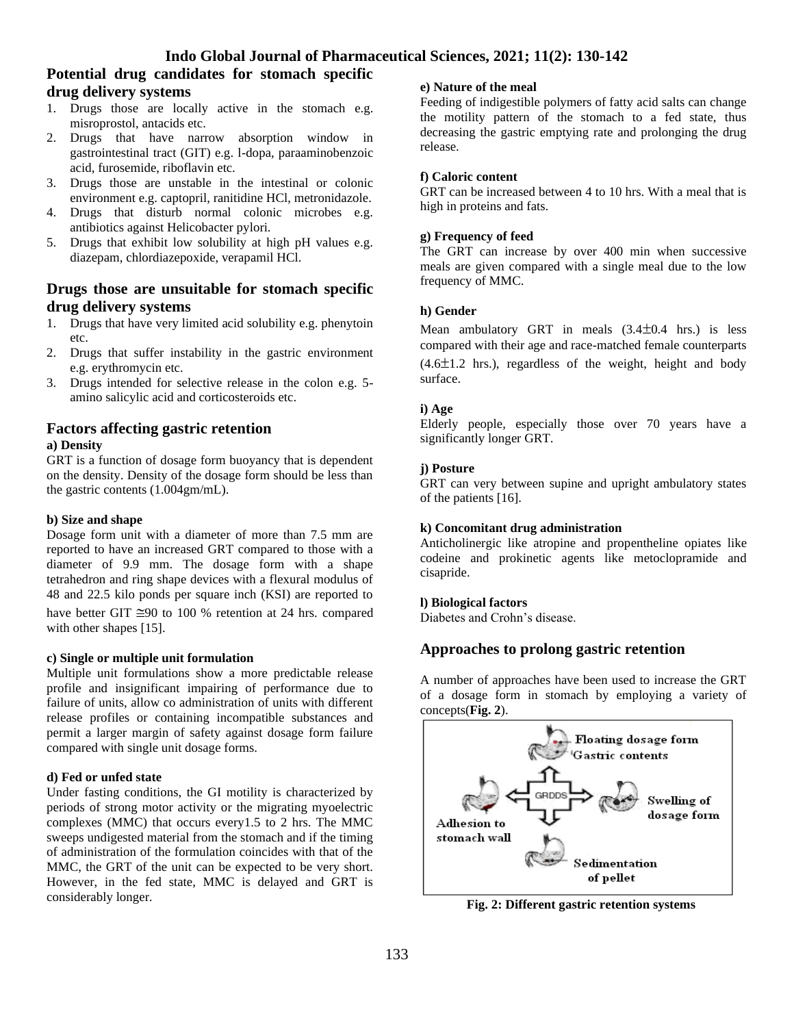## **Potential drug candidates for stomach specific drug delivery systems**

- 1. Drugs those are locally active in the stomach e.g. misroprostol, antacids etc.
- 2. Drugs that have narrow absorption window in gastrointestinal tract (GIT) e.g. l-dopa, paraaminobenzoic acid, furosemide, riboflavin etc.
- 3. Drugs those are unstable in the intestinal or colonic environment e.g. captopril, ranitidine HCl, metronidazole.
- 4. Drugs that disturb normal colonic microbes e.g. antibiotics against Helicobacter pylori.
- 5. Drugs that exhibit low solubility at high pH values e.g. diazepam, chlordiazepoxide, verapamil HCl.

## **Drugs those are unsuitable for stomach specific drug delivery systems**

- 1. Drugs that have very limited acid solubility e.g. phenytoin etc.
- 2. Drugs that suffer instability in the gastric environment e.g. erythromycin etc.
- 3. Drugs intended for selective release in the colon e.g. 5 amino salicylic acid and corticosteroids etc.

## **Factors affecting gastric retention a) Density**

GRT is a function of dosage form buoyancy that is dependent on the density. Density of the dosage form should be less than the gastric contents (1.004gm/mL).

#### **b) Size and shape**

Dosage form unit with a diameter of more than 7.5 mm are reported to have an increased GRT compared to those with a diameter of 9.9 mm. The dosage form with a shape tetrahedron and ring shape devices with a flexural modulus of 48 and 22.5 kilo ponds per square inch (KSI) are reported to have better GIT  $\approx 90$  to 100 % retention at 24 hrs. compared with other shapes [15].

#### **c) Single or multiple unit formulation**

Multiple unit formulations show a more predictable release profile and insignificant impairing of performance due to failure of units, allow co administration of units with different release profiles or containing incompatible substances and permit a larger margin of safety against dosage form failure compared with single unit dosage forms.

#### **d) Fed or unfed state**

Under fasting conditions, the GI motility is characterized by periods of strong motor activity or the migrating myoelectric complexes (MMC) that occurs every1.5 to 2 hrs. The MMC sweeps undigested material from the stomach and if the timing of administration of the formulation coincides with that of the MMC, the GRT of the unit can be expected to be very short. However, in the fed state, MMC is delayed and GRT is considerably longer.

#### **e) Nature of the meal**

Feeding of indigestible polymers of fatty acid salts can change the motility pattern of the stomach to a fed state, thus decreasing the gastric emptying rate and prolonging the drug release.

#### **f) Caloric content**

GRT can be increased between 4 to 10 hrs. With a meal that is high in proteins and fats.

#### **g) Frequency of feed**

The GRT can increase by over 400 min when successive meals are given compared with a single meal due to the low frequency of MMC.

#### **h) Gender**

Mean ambulatory GRT in meals  $(3.4\pm0.4 \text{ hrs.})$  is less compared with their age and race-matched female counterparts  $(4.6\pm1.2 \text{ hrs.})$ , regardless of the weight, height and body surface.

### **i) Age**

Elderly people, especially those over 70 years have a significantly longer GRT.

#### **j) Posture**

GRT can very between supine and upright ambulatory states of the patients [16].

#### **k) Concomitant drug administration**

Anticholinergic like atropine and propentheline opiates like codeine and prokinetic agents like metoclopramide and cisapride.

#### **l) Biological factors**

Diabetes and Crohn's disease.

## **Approaches to prolong gastric retention**

A number of approaches have been used to increase the GRT of a dosage form in stomach by employing a variety of concepts(**Fig. 2**).



**Fig. 2: Different gastric retention systems**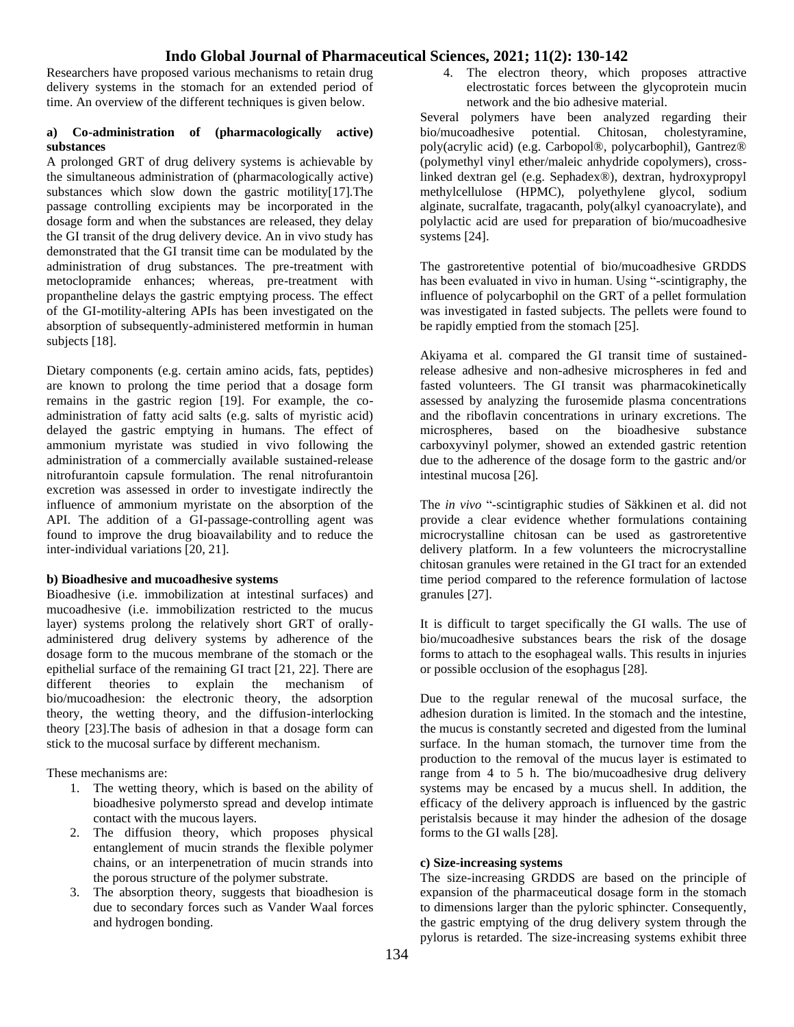Researchers have proposed various mechanisms to retain drug delivery systems in the stomach for an extended period of time. An overview of the different techniques is given below.

#### **a) Co-administration of (pharmacologically active) substances**

A prolonged GRT of drug delivery systems is achievable by the simultaneous administration of (pharmacologically active) substances which slow down the gastric motility[17].The passage controlling excipients may be incorporated in the dosage form and when the substances are released, they delay the GI transit of the drug delivery device. An in vivo study has demonstrated that the GI transit time can be modulated by the administration of drug substances. The pre-treatment with metoclopramide enhances; whereas, pre-treatment with propantheline delays the gastric emptying process. The effect of the GI-motility-altering APIs has been investigated on the absorption of subsequently-administered metformin in human subjects [18].

Dietary components (e.g. certain amino acids, fats, peptides) are known to prolong the time period that a dosage form remains in the gastric region [19]. For example, the coadministration of fatty acid salts (e.g. salts of myristic acid) delayed the gastric emptying in humans. The effect of ammonium myristate was studied in vivo following the administration of a commercially available sustained-release nitrofurantoin capsule formulation. The renal nitrofurantoin excretion was assessed in order to investigate indirectly the influence of ammonium myristate on the absorption of the API. The addition of a GI-passage-controlling agent was found to improve the drug bioavailability and to reduce the inter-individual variations [20, 21].

#### **b) Bioadhesive and mucoadhesive systems**

Bioadhesive (i.e. immobilization at intestinal surfaces) and mucoadhesive (i.e. immobilization restricted to the mucus layer) systems prolong the relatively short GRT of orallyadministered drug delivery systems by adherence of the dosage form to the mucous membrane of the stomach or the epithelial surface of the remaining GI tract [21, 22]. There are different theories to explain the mechanism of bio/mucoadhesion: the electronic theory, the adsorption theory, the wetting theory, and the diffusion-interlocking theory [23].The basis of adhesion in that a dosage form can stick to the mucosal surface by different mechanism.

These mechanisms are:

- 1. The wetting theory, which is based on the ability of bioadhesive polymersto spread and develop intimate contact with the mucous layers.
- 2. The diffusion theory, which proposes physical entanglement of mucin strands the flexible polymer chains, or an interpenetration of mucin strands into the porous structure of the polymer substrate.
- 3. The absorption theory, suggests that bioadhesion is due to secondary forces such as Vander Waal forces and hydrogen bonding.

4. The electron theory, which proposes attractive electrostatic forces between the glycoprotein mucin network and the bio adhesive material.

Several polymers have been analyzed regarding their bio/mucoadhesive potential. Chitosan, cholestyramine, poly(acrylic acid) (e.g. Carbopol®, polycarbophil), Gantrez® (polymethyl vinyl ether/maleic anhydride copolymers), crosslinked dextran gel (e.g. Sephadex®), dextran, hydroxypropyl methylcellulose (HPMC), polyethylene glycol, sodium alginate, sucralfate, tragacanth, poly(alkyl cyanoacrylate), and polylactic acid are used for preparation of bio/mucoadhesive systems [24].

The gastroretentive potential of bio/mucoadhesive GRDDS has been evaluated in vivo in human. Using "-scintigraphy, the influence of polycarbophil on the GRT of a pellet formulation was investigated in fasted subjects. The pellets were found to be rapidly emptied from the stomach [25].

Akiyama et al. compared the GI transit time of sustainedrelease adhesive and non-adhesive microspheres in fed and fasted volunteers. The GI transit was pharmacokinetically assessed by analyzing the furosemide plasma concentrations and the riboflavin concentrations in urinary excretions. The microspheres, based on the bioadhesive substance carboxyvinyl polymer, showed an extended gastric retention due to the adherence of the dosage form to the gastric and/or intestinal mucosa [26].

The *in vivo* "-scintigraphic studies of Säkkinen et al. did not provide a clear evidence whether formulations containing microcrystalline chitosan can be used as gastroretentive delivery platform. In a few volunteers the microcrystalline chitosan granules were retained in the GI tract for an extended time period compared to the reference formulation of lactose granules [27].

It is difficult to target specifically the GI walls. The use of bio/mucoadhesive substances bears the risk of the dosage forms to attach to the esophageal walls. This results in injuries or possible occlusion of the esophagus [28].

Due to the regular renewal of the mucosal surface, the adhesion duration is limited. In the stomach and the intestine, the mucus is constantly secreted and digested from the luminal surface. In the human stomach, the turnover time from the production to the removal of the mucus layer is estimated to range from 4 to 5 h. The bio/mucoadhesive drug delivery systems may be encased by a mucus shell. In addition, the efficacy of the delivery approach is influenced by the gastric peristalsis because it may hinder the adhesion of the dosage forms to the GI walls [28].

#### **c) Size-increasing systems**

The size-increasing GRDDS are based on the principle of expansion of the pharmaceutical dosage form in the stomach to dimensions larger than the pyloric sphincter. Consequently, the gastric emptying of the drug delivery system through the pylorus is retarded. The size-increasing systems exhibit three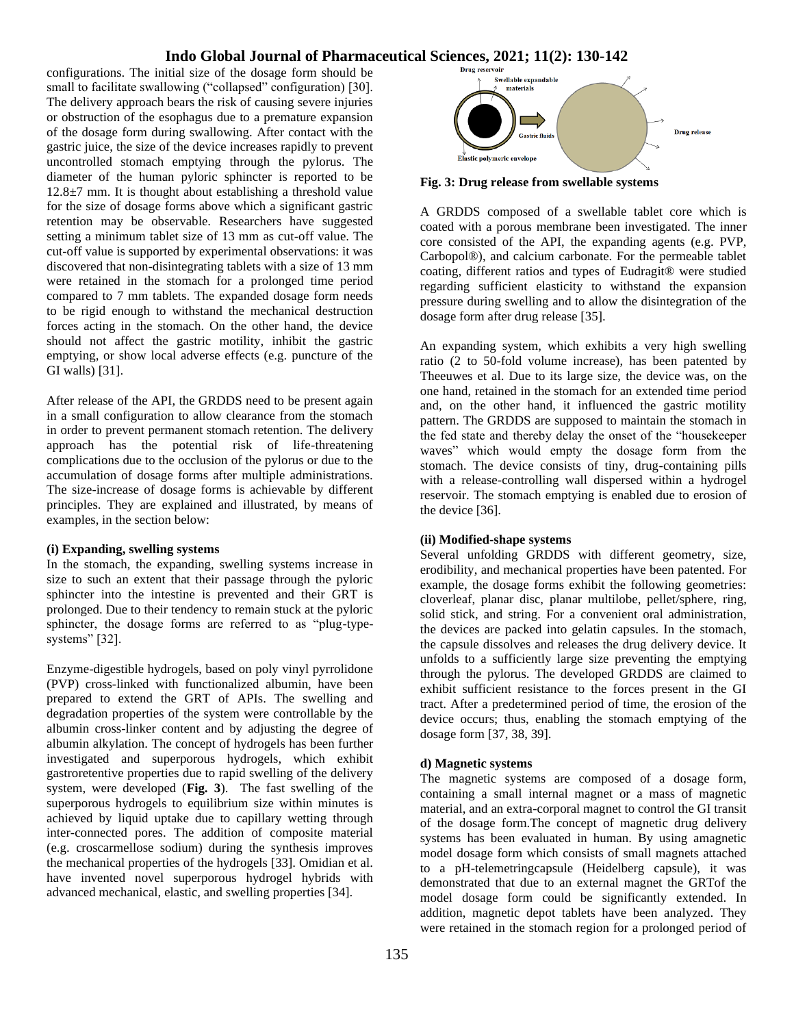configurations. The initial size of the dosage form should be small to facilitate swallowing ("collapsed" configuration) [30]. The delivery approach bears the risk of causing severe injuries or obstruction of the esophagus due to a premature expansion of the dosage form during swallowing. After contact with the gastric juice, the size of the device increases rapidly to prevent uncontrolled stomach emptying through the pylorus. The diameter of the human pyloric sphincter is reported to be  $12.8\pm7$  mm. It is thought about establishing a threshold value for the size of dosage forms above which a significant gastric retention may be observable. Researchers have suggested setting a minimum tablet size of 13 mm as cut-off value. The cut-off value is supported by experimental observations: it was discovered that non-disintegrating tablets with a size of 13 mm were retained in the stomach for a prolonged time period compared to 7 mm tablets. The expanded dosage form needs to be rigid enough to withstand the mechanical destruction forces acting in the stomach. On the other hand, the device should not affect the gastric motility, inhibit the gastric emptying, or show local adverse effects (e.g. puncture of the GI walls) [31].

After release of the API, the GRDDS need to be present again in a small configuration to allow clearance from the stomach in order to prevent permanent stomach retention. The delivery approach has the potential risk of life-threatening complications due to the occlusion of the pylorus or due to the accumulation of dosage forms after multiple administrations. The size-increase of dosage forms is achievable by different principles. They are explained and illustrated, by means of examples, in the section below:

#### **(i) Expanding, swelling systems**

In the stomach, the expanding, swelling systems increase in size to such an extent that their passage through the pyloric sphincter into the intestine is prevented and their GRT is prolonged. Due to their tendency to remain stuck at the pyloric sphincter, the dosage forms are referred to as "plug-typesystems" [32].

Enzyme-digestible hydrogels, based on poly vinyl pyrrolidone (PVP) cross-linked with functionalized albumin, have been prepared to extend the GRT of APIs. The swelling and degradation properties of the system were controllable by the albumin cross-linker content and by adjusting the degree of albumin alkylation. The concept of hydrogels has been further investigated and superporous hydrogels, which exhibit gastroretentive properties due to rapid swelling of the delivery system, were developed (**Fig. 3**). The fast swelling of the superporous hydrogels to equilibrium size within minutes is achieved by liquid uptake due to capillary wetting through inter-connected pores. The addition of composite material (e.g. croscarmellose sodium) during the synthesis improves the mechanical properties of the hydrogels [33]. Omidian et al. have invented novel superporous hydrogel hybrids with advanced mechanical, elastic, and swelling properties [34].



**Fig. 3: Drug release from swellable systems**

A GRDDS composed of a swellable tablet core which is coated with a porous membrane been investigated. The inner core consisted of the API, the expanding agents (e.g. PVP, Carbopol®), and calcium carbonate. For the permeable tablet coating, different ratios and types of Eudragit® were studied regarding sufficient elasticity to withstand the expansion pressure during swelling and to allow the disintegration of the dosage form after drug release [35].

An expanding system, which exhibits a very high swelling ratio (2 to 50-fold volume increase), has been patented by Theeuwes et al. Due to its large size, the device was, on the one hand, retained in the stomach for an extended time period and, on the other hand, it influenced the gastric motility pattern. The GRDDS are supposed to maintain the stomach in the fed state and thereby delay the onset of the "housekeeper waves" which would empty the dosage form from the stomach. The device consists of tiny, drug-containing pills with a release-controlling wall dispersed within a hydrogel reservoir. The stomach emptying is enabled due to erosion of the device [36].

#### **(ii) Modified-shape systems**

Several unfolding GRDDS with different geometry, size, erodibility, and mechanical properties have been patented. For example, the dosage forms exhibit the following geometries: cloverleaf, planar disc, planar multilobe, pellet/sphere, ring, solid stick, and string. For a convenient oral administration, the devices are packed into gelatin capsules. In the stomach, the capsule dissolves and releases the drug delivery device. It unfolds to a sufficiently large size preventing the emptying through the pylorus. The developed GRDDS are claimed to exhibit sufficient resistance to the forces present in the GI tract. After a predetermined period of time, the erosion of the device occurs; thus, enabling the stomach emptying of the dosage form [37, 38, 39].

#### **d) Magnetic systems**

The magnetic systems are composed of a dosage form, containing a small internal magnet or a mass of magnetic material, and an extra-corporal magnet to control the GI transit of the dosage form.The concept of magnetic drug delivery systems has been evaluated in human. By using amagnetic model dosage form which consists of small magnets attached to a pH-telemetringcapsule (Heidelberg capsule), it was demonstrated that due to an external magnet the GRTof the model dosage form could be significantly extended. In addition, magnetic depot tablets have been analyzed. They were retained in the stomach region for a prolonged period of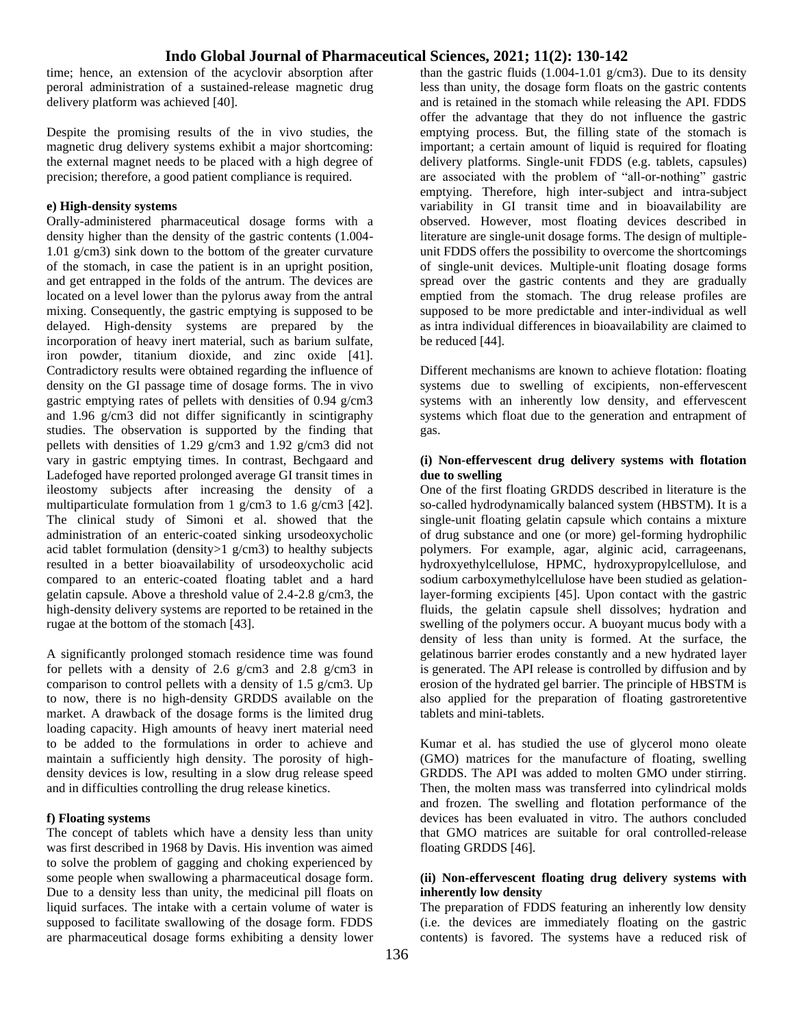time; hence, an extension of the acyclovir absorption after peroral administration of a sustained-release magnetic drug delivery platform was achieved [40].

Despite the promising results of the in vivo studies, the magnetic drug delivery systems exhibit a major shortcoming: the external magnet needs to be placed with a high degree of precision; therefore, a good patient compliance is required.

#### **e) High-density systems**

Orally-administered pharmaceutical dosage forms with a density higher than the density of the gastric contents (1.004- 1.01 g/cm3) sink down to the bottom of the greater curvature of the stomach, in case the patient is in an upright position, and get entrapped in the folds of the antrum. The devices are located on a level lower than the pylorus away from the antral mixing. Consequently, the gastric emptying is supposed to be delayed. High-density systems are prepared by the incorporation of heavy inert material, such as barium sulfate, iron powder, titanium dioxide, and zinc oxide [41]. Contradictory results were obtained regarding the influence of density on the GI passage time of dosage forms. The in vivo gastric emptying rates of pellets with densities of 0.94 g/cm3 and 1.96 g/cm3 did not differ significantly in scintigraphy studies. The observation is supported by the finding that pellets with densities of 1.29 g/cm3 and 1.92 g/cm3 did not vary in gastric emptying times. In contrast, Bechgaard and Ladefoged have reported prolonged average GI transit times in ileostomy subjects after increasing the density of a multiparticulate formulation from 1 g/cm3 to 1.6 g/cm3 [42]. The clinical study of Simoni et al. showed that the administration of an enteric-coated sinking ursodeoxycholic acid tablet formulation (density>1 g/cm3) to healthy subjects resulted in a better bioavailability of ursodeoxycholic acid compared to an enteric-coated floating tablet and a hard gelatin capsule. Above a threshold value of 2.4-2.8 g/cm3, the high-density delivery systems are reported to be retained in the rugae at the bottom of the stomach [43].

A significantly prolonged stomach residence time was found for pellets with a density of 2.6 g/cm3 and 2.8 g/cm3 in comparison to control pellets with a density of 1.5 g/cm3. Up to now, there is no high-density GRDDS available on the market. A drawback of the dosage forms is the limited drug loading capacity. High amounts of heavy inert material need to be added to the formulations in order to achieve and maintain a sufficiently high density. The porosity of highdensity devices is low, resulting in a slow drug release speed and in difficulties controlling the drug release kinetics.

#### **f) Floating systems**

The concept of tablets which have a density less than unity was first described in 1968 by Davis. His invention was aimed to solve the problem of gagging and choking experienced by some people when swallowing a pharmaceutical dosage form. Due to a density less than unity, the medicinal pill floats on liquid surfaces. The intake with a certain volume of water is supposed to facilitate swallowing of the dosage form. FDDS are pharmaceutical dosage forms exhibiting a density lower

than the gastric fluids  $(1.004-1.01)$  g/cm3). Due to its density less than unity, the dosage form floats on the gastric contents and is retained in the stomach while releasing the API. FDDS offer the advantage that they do not influence the gastric emptying process. But, the filling state of the stomach is important; a certain amount of liquid is required for floating delivery platforms. Single-unit FDDS (e.g. tablets, capsules) are associated with the problem of "all-or-nothing" gastric emptying. Therefore, high inter-subject and intra-subject variability in GI transit time and in bioavailability are observed. However, most floating devices described in literature are single-unit dosage forms. The design of multipleunit FDDS offers the possibility to overcome the shortcomings of single-unit devices. Multiple-unit floating dosage forms spread over the gastric contents and they are gradually emptied from the stomach. The drug release profiles are supposed to be more predictable and inter-individual as well as intra individual differences in bioavailability are claimed to be reduced [44].

Different mechanisms are known to achieve flotation: floating systems due to swelling of excipients, non-effervescent systems with an inherently low density, and effervescent systems which float due to the generation and entrapment of gas.

#### **(i) Non-effervescent drug delivery systems with flotation due to swelling**

One of the first floating GRDDS described in literature is the so-called hydrodynamically balanced system (HBSTM). It is a single-unit floating gelatin capsule which contains a mixture of drug substance and one (or more) gel-forming hydrophilic polymers. For example, agar, alginic acid, carrageenans, hydroxyethylcellulose, HPMC, hydroxypropylcellulose, and sodium carboxymethylcellulose have been studied as gelationlayer-forming excipients [45]. Upon contact with the gastric fluids, the gelatin capsule shell dissolves; hydration and swelling of the polymers occur. A buoyant mucus body with a density of less than unity is formed. At the surface, the gelatinous barrier erodes constantly and a new hydrated layer is generated. The API release is controlled by diffusion and by erosion of the hydrated gel barrier. The principle of HBSTM is also applied for the preparation of floating gastroretentive tablets and mini-tablets.

Kumar et al. has studied the use of glycerol mono oleate (GMO) matrices for the manufacture of floating, swelling GRDDS. The API was added to molten GMO under stirring. Then, the molten mass was transferred into cylindrical molds and frozen. The swelling and flotation performance of the devices has been evaluated in vitro. The authors concluded that GMO matrices are suitable for oral controlled-release floating GRDDS [46].

#### **(ii) Non-effervescent floating drug delivery systems with inherently low density**

The preparation of FDDS featuring an inherently low density (i.e. the devices are immediately floating on the gastric contents) is favored. The systems have a reduced risk of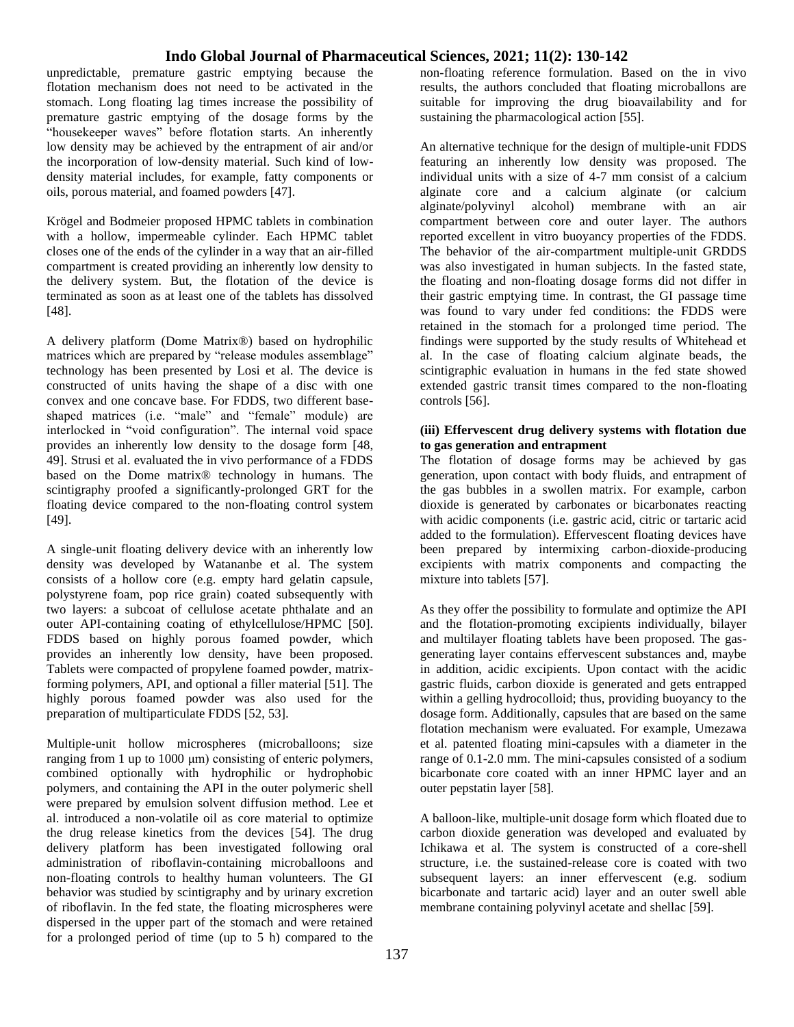unpredictable, premature gastric emptying because the flotation mechanism does not need to be activated in the stomach. Long floating lag times increase the possibility of premature gastric emptying of the dosage forms by the "housekeeper waves" before flotation starts. An inherently low density may be achieved by the entrapment of air and/or the incorporation of low-density material. Such kind of lowdensity material includes, for example, fatty components or oils, porous material, and foamed powders [47].

Krögel and Bodmeier proposed HPMC tablets in combination with a hollow, impermeable cylinder. Each HPMC tablet closes one of the ends of the cylinder in a way that an air-filled compartment is created providing an inherently low density to the delivery system. But, the flotation of the device is terminated as soon as at least one of the tablets has dissolved [48].

A delivery platform (Dome Matrix®) based on hydrophilic matrices which are prepared by "release modules assemblage" technology has been presented by Losi et al. The device is constructed of units having the shape of a disc with one convex and one concave base. For FDDS, two different baseshaped matrices (i.e. "male" and "female" module) are interlocked in "void configuration". The internal void space provides an inherently low density to the dosage form [48, 49]. Strusi et al. evaluated the in vivo performance of a FDDS based on the Dome matrix® technology in humans. The scintigraphy proofed a significantly-prolonged GRT for the floating device compared to the non-floating control system [49].

A single-unit floating delivery device with an inherently low density was developed by Watananbe et al. The system consists of a hollow core (e.g. empty hard gelatin capsule, polystyrene foam, pop rice grain) coated subsequently with two layers: a subcoat of cellulose acetate phthalate and an outer API-containing coating of ethylcellulose/HPMC [50]. FDDS based on highly porous foamed powder, which provides an inherently low density, have been proposed. Tablets were compacted of propylene foamed powder, matrixforming polymers, API, and optional a filler material [51]. The highly porous foamed powder was also used for the preparation of multiparticulate FDDS [52, 53].

Multiple-unit hollow microspheres (microballoons; size ranging from 1 up to 1000 μm) consisting of enteric polymers, combined optionally with hydrophilic or hydrophobic polymers, and containing the API in the outer polymeric shell were prepared by emulsion solvent diffusion method. Lee et al. introduced a non-volatile oil as core material to optimize the drug release kinetics from the devices [54]. The drug delivery platform has been investigated following oral administration of riboflavin-containing microballoons and non-floating controls to healthy human volunteers. The GI behavior was studied by scintigraphy and by urinary excretion of riboflavin. In the fed state, the floating microspheres were dispersed in the upper part of the stomach and were retained for a prolonged period of time (up to 5 h) compared to the non-floating reference formulation. Based on the in vivo results, the authors concluded that floating microballons are suitable for improving the drug bioavailability and for sustaining the pharmacological action [55].

An alternative technique for the design of multiple-unit FDDS featuring an inherently low density was proposed. The individual units with a size of 4-7 mm consist of a calcium alginate core and a calcium alginate (or calcium alginate/polyvinyl alcohol) membrane with an air compartment between core and outer layer. The authors reported excellent in vitro buoyancy properties of the FDDS. The behavior of the air-compartment multiple-unit GRDDS was also investigated in human subjects. In the fasted state, the floating and non-floating dosage forms did not differ in their gastric emptying time. In contrast, the GI passage time was found to vary under fed conditions: the FDDS were retained in the stomach for a prolonged time period. The findings were supported by the study results of Whitehead et al. In the case of floating calcium alginate beads, the scintigraphic evaluation in humans in the fed state showed extended gastric transit times compared to the non-floating controls [56].

#### **(iii) Effervescent drug delivery systems with flotation due to gas generation and entrapment**

The flotation of dosage forms may be achieved by gas generation, upon contact with body fluids, and entrapment of the gas bubbles in a swollen matrix. For example, carbon dioxide is generated by carbonates or bicarbonates reacting with acidic components (i.e. gastric acid, citric or tartaric acid added to the formulation). Effervescent floating devices have been prepared by intermixing carbon-dioxide-producing excipients with matrix components and compacting the mixture into tablets [57].

As they offer the possibility to formulate and optimize the API and the flotation-promoting excipients individually, bilayer and multilayer floating tablets have been proposed. The gasgenerating layer contains effervescent substances and, maybe in addition, acidic excipients. Upon contact with the acidic gastric fluids, carbon dioxide is generated and gets entrapped within a gelling hydrocolloid; thus, providing buoyancy to the dosage form. Additionally, capsules that are based on the same flotation mechanism were evaluated. For example, Umezawa et al. patented floating mini-capsules with a diameter in the range of 0.1-2.0 mm. The mini-capsules consisted of a sodium bicarbonate core coated with an inner HPMC layer and an outer pepstatin layer [58].

A balloon-like, multiple-unit dosage form which floated due to carbon dioxide generation was developed and evaluated by Ichikawa et al. The system is constructed of a core-shell structure, i.e. the sustained-release core is coated with two subsequent layers: an inner effervescent (e.g. sodium bicarbonate and tartaric acid) layer and an outer swell able membrane containing polyvinyl acetate and shellac [59].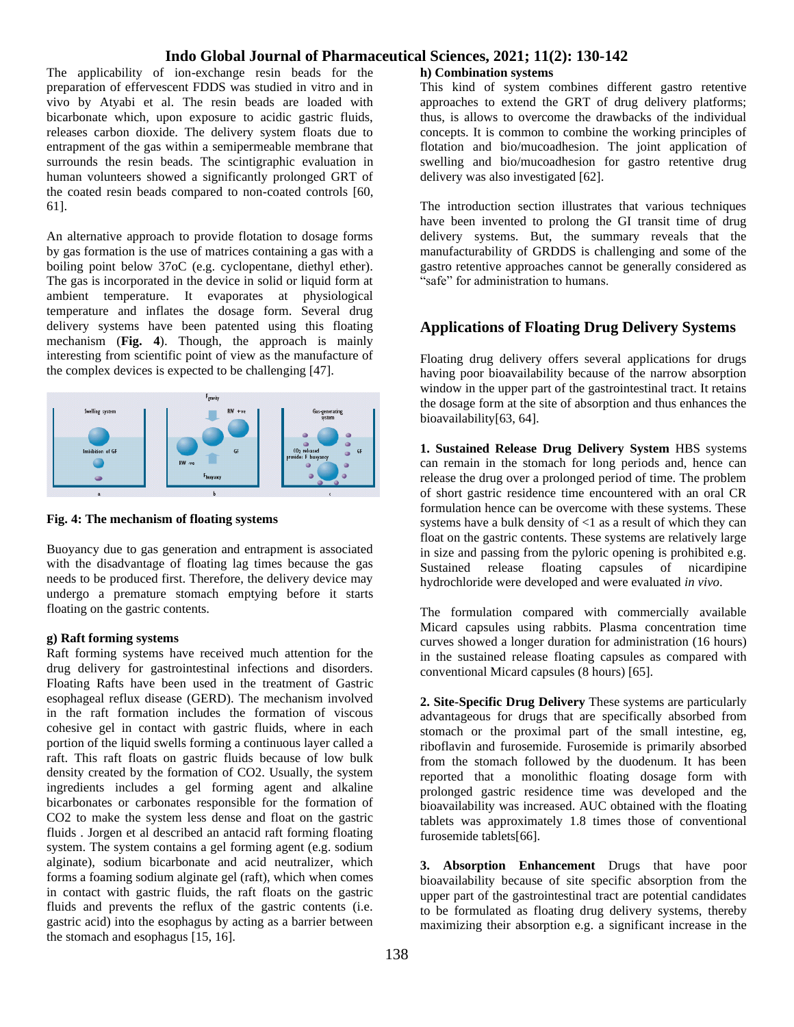The applicability of ion-exchange resin beads for the preparation of effervescent FDDS was studied in vitro and in vivo by Atyabi et al. The resin beads are loaded with bicarbonate which, upon exposure to acidic gastric fluids, releases carbon dioxide. The delivery system floats due to entrapment of the gas within a semipermeable membrane that surrounds the resin beads. The scintigraphic evaluation in human volunteers showed a significantly prolonged GRT of the coated resin beads compared to non-coated controls [60, 61].

An alternative approach to provide flotation to dosage forms by gas formation is the use of matrices containing a gas with a boiling point below 37oC (e.g. cyclopentane, diethyl ether). The gas is incorporated in the device in solid or liquid form at ambient temperature. It evaporates at physiological temperature and inflates the dosage form. Several drug delivery systems have been patented using this floating mechanism (**Fig. 4**). Though, the approach is mainly interesting from scientific point of view as the manufacture of the complex devices is expected to be challenging [47].



**Fig. 4: The mechanism of floating systems**

Buoyancy due to gas generation and entrapment is associated with the disadvantage of floating lag times because the gas needs to be produced first. Therefore, the delivery device may undergo a premature stomach emptying before it starts floating on the gastric contents.

#### **g) Raft forming systems**

Raft forming systems have received much attention for the drug delivery for gastrointestinal infections and disorders. Floating Rafts have been used in the treatment of Gastric esophageal reflux disease (GERD). The mechanism involved in the raft formation includes the formation of viscous cohesive gel in contact with gastric fluids, where in each portion of the liquid swells forming a continuous layer called a raft. This raft floats on gastric fluids because of low bulk density created by the formation of CO2. Usually, the system ingredients includes a gel forming agent and alkaline bicarbonates or carbonates responsible for the formation of CO2 to make the system less dense and float on the gastric fluids . Jorgen et al described an antacid raft forming floating system. The system contains a gel forming agent (e.g. sodium alginate), sodium bicarbonate and acid neutralizer, which forms a foaming sodium alginate gel (raft), which when comes in contact with gastric fluids, the raft floats on the gastric fluids and prevents the reflux of the gastric contents (i.e. gastric acid) into the esophagus by acting as a barrier between the stomach and esophagus [15, 16].

#### **h) Combination systems**

This kind of system combines different gastro retentive approaches to extend the GRT of drug delivery platforms; thus, is allows to overcome the drawbacks of the individual concepts. It is common to combine the working principles of flotation and bio/mucoadhesion. The joint application of swelling and bio/mucoadhesion for gastro retentive drug delivery was also investigated [62].

The introduction section illustrates that various techniques have been invented to prolong the GI transit time of drug delivery systems. But, the summary reveals that the manufacturability of GRDDS is challenging and some of the gastro retentive approaches cannot be generally considered as "safe" for administration to humans.

### **Applications of Floating Drug Delivery Systems**

Floating drug delivery offers several applications for drugs having poor bioavailability because of the narrow absorption window in the upper part of the gastrointestinal tract. It retains the dosage form at the site of absorption and thus enhances the bioavailability[63, 64].

**1. Sustained Release Drug Delivery System** HBS systems can remain in the stomach for long periods and, hence can release the drug over a prolonged period of time. The problem of short gastric residence time encountered with an oral CR formulation hence can be overcome with these systems. These systems have a bulk density of  $\leq 1$  as a result of which they can float on the gastric contents. These systems are relatively large in size and passing from the pyloric opening is prohibited e.g. Sustained release floating capsules of nicardipine hydrochloride were developed and were evaluated *in vivo*.

The formulation compared with commercially available Micard capsules using rabbits. Plasma concentration time curves showed a longer duration for administration (16 hours) in the sustained release floating capsules as compared with conventional Micard capsules (8 hours) [65].

**2. Site-Specific Drug Delivery** These systems are particularly advantageous for drugs that are specifically absorbed from stomach or the proximal part of the small intestine, eg, riboflavin and furosemide. Furosemide is primarily absorbed from the stomach followed by the duodenum. It has been reported that a monolithic floating dosage form with prolonged gastric residence time was developed and the bioavailability was increased. AUC obtained with the floating tablets was approximately 1.8 times those of conventional furosemide tablets[66].

**3. Absorption Enhancement** Drugs that have poor bioavailability because of site specific absorption from the upper part of the gastrointestinal tract are potential candidates to be formulated as floating drug delivery systems, thereby maximizing their absorption e.g. a significant increase in the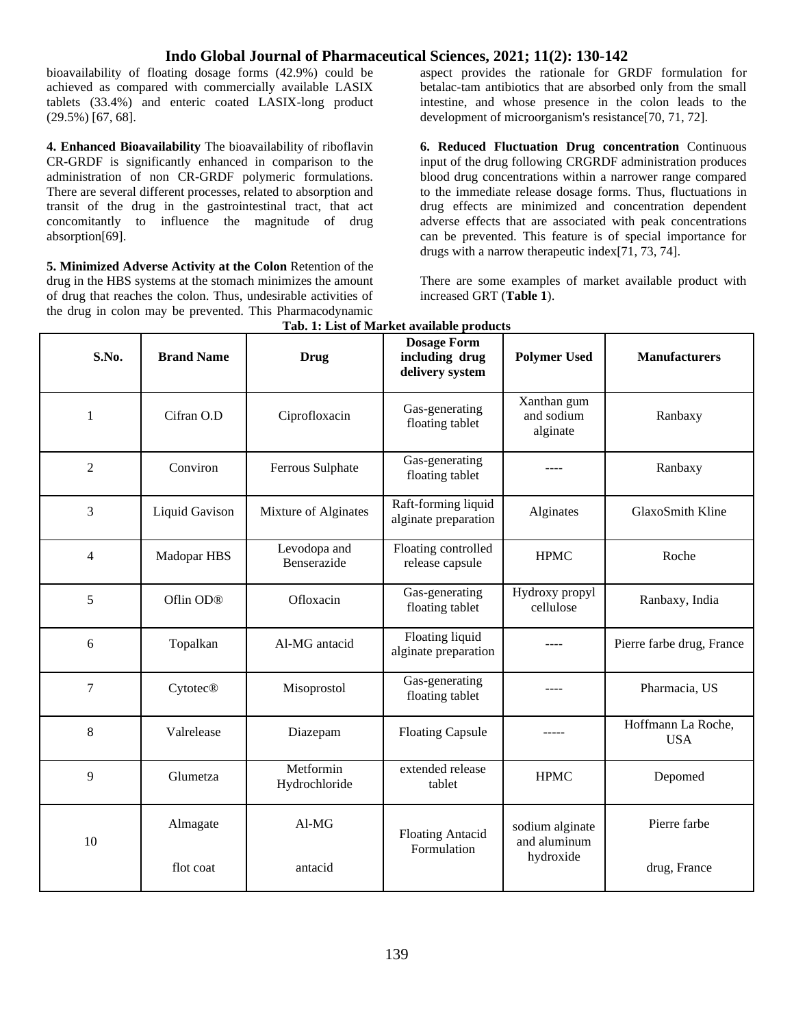bioavailability of floating dosage forms (42.9%) could be achieved as compared with commercially available LASIX tablets (33.4%) and enteric coated LASIX-long product (29.5%) [67, 68].

**4. Enhanced Bioavailability** The bioavailability of riboflavin CR-GRDF is significantly enhanced in comparison to the administration of non CR-GRDF polymeric formulations. There are several different processes, related to absorption and transit of the drug in the gastrointestinal tract, that act concomitantly to influence the magnitude of drug absorption[69].

**5. Minimized Adverse Activity at the Colon** Retention of the drug in the HBS systems at the stomach minimizes the amount of drug that reaches the colon. Thus, undesirable activities of the drug in colon may be prevented. This Pharmacodynamic

aspect provides the rationale for GRDF formulation for betalac-tam antibiotics that are absorbed only from the small intestine, and whose presence in the colon leads to the development of microorganism's resistance[70, 71, 72].

**6. Reduced Fluctuation Drug concentration** Continuous input of the drug following CRGRDF administration produces blood drug concentrations within a narrower range compared to the immediate release dosage forms. Thus, fluctuations in drug effects are minimized and concentration dependent adverse effects that are associated with peak concentrations can be prevented. This feature is of special importance for drugs with a narrow therapeutic index[71, 73, 74].

There are some examples of market available product with increased GRT (**Table 1**).

| S.No.          | <b>Brand Name</b>     | <b>Drug</b>                 | <b>Dosage Form</b><br>including drug<br>delivery system | <b>Polymer Used</b>                          | <b>Manufacturers</b>             |
|----------------|-----------------------|-----------------------------|---------------------------------------------------------|----------------------------------------------|----------------------------------|
| 1              | Cifran O.D            | Ciprofloxacin               | Gas-generating<br>floating tablet                       | Xanthan gum<br>and sodium<br>alginate        | Ranbaxy                          |
| $\overline{2}$ | Conviron              | Ferrous Sulphate            | Gas-generating<br>floating tablet                       |                                              | Ranbaxy                          |
| 3              | Liquid Gavison        | Mixture of Alginates        | Raft-forming liquid<br>alginate preparation             | Alginates                                    | GlaxoSmith Kline                 |
| 4              | Madopar HBS           | Levodopa and<br>Benserazide | Floating controlled<br>release capsule                  | <b>HPMC</b>                                  | Roche                            |
| 5              | Oflin OD <sup>®</sup> | Ofloxacin                   | Gas-generating<br>floating tablet                       | Hydroxy propyl<br>cellulose                  | Ranbaxy, India                   |
| 6              | Topalkan              | Al-MG antacid               | Floating liquid<br>alginate preparation                 |                                              | Pierre farbe drug, France        |
| $\overline{7}$ | <b>Cytotec®</b>       | Misoprostol                 | Gas-generating<br>floating tablet                       |                                              | Pharmacia, US                    |
| 8              | Valrelease            | Diazepam                    | <b>Floating Capsule</b>                                 |                                              | Hoffmann La Roche,<br><b>USA</b> |
| 9              | Glumetza              | Metformin<br>Hydrochloride  | extended release<br>tablet                              | <b>HPMC</b>                                  | Depomed                          |
| 10             | Almagate              | Al-MG                       | <b>Floating Antacid</b><br>Formulation                  | sodium alginate<br>and aluminum<br>hydroxide | Pierre farbe                     |
|                | flot coat             | antacid                     |                                                         |                                              | drug, France                     |

**Tab. 1: List of Market available products**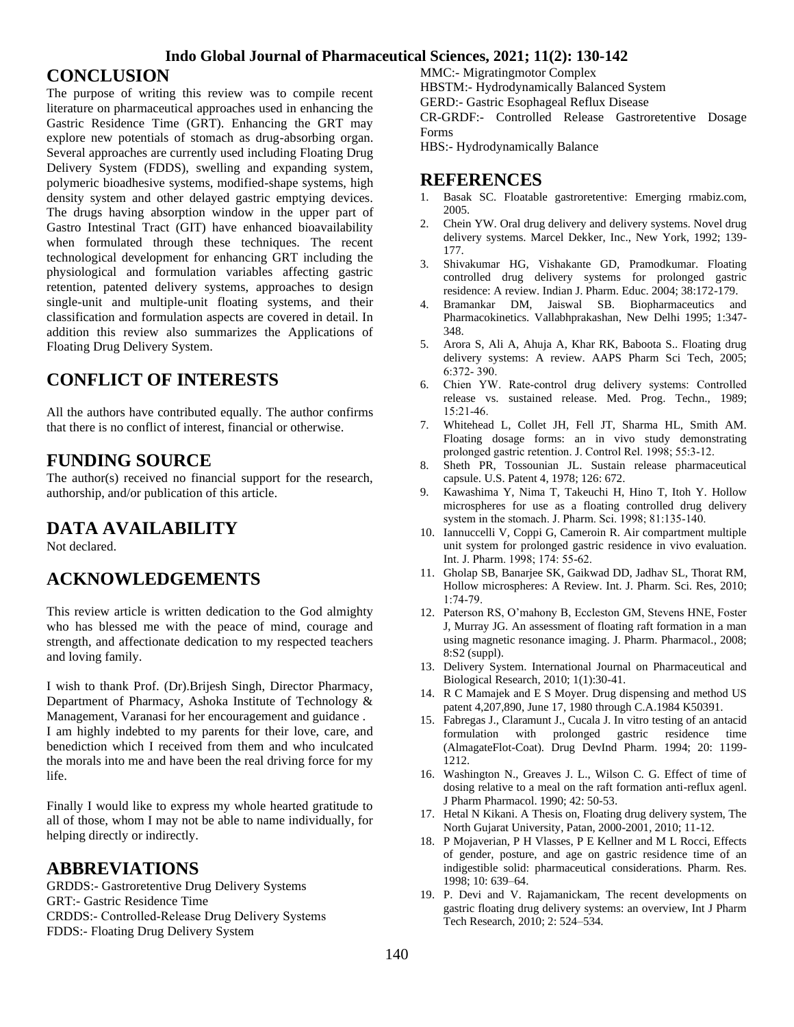## **CONCLUSION**

The purpose of writing this review was to compile recent literature on pharmaceutical approaches used in enhancing the Gastric Residence Time (GRT). Enhancing the GRT may explore new potentials of stomach as drug-absorbing organ. Several approaches are currently used including Floating Drug Delivery System (FDDS), swelling and expanding system, polymeric bioadhesive systems, modified-shape systems, high density system and other delayed gastric emptying devices. The drugs having absorption window in the upper part of Gastro Intestinal Tract (GIT) have enhanced bioavailability when formulated through these techniques. The recent technological development for enhancing GRT including the physiological and formulation variables affecting gastric retention, patented delivery systems, approaches to design single-unit and multiple-unit floating systems, and their classification and formulation aspects are covered in detail. In addition this review also summarizes the Applications of Floating Drug Delivery System.

## **CONFLICT OF INTERESTS**

All the authors have contributed equally. The author confirms that there is no conflict of interest, financial or otherwise.

## **FUNDING SOURCE**

The author(s) received no financial support for the research, authorship, and/or publication of this article.

## **DATA AVAILABILITY**

Not declared.

## **ACKNOWLEDGEMENTS**

This review article is written dedication to the God almighty who has blessed me with the peace of mind, courage and strength, and affectionate dedication to my respected teachers and loving family.

I wish to thank Prof. (Dr).Brijesh Singh, Director Pharmacy, Department of Pharmacy, Ashoka Institute of Technology & Management, Varanasi for her encouragement and guidance . I am highly indebted to my parents for their love, care, and benediction which I received from them and who inculcated the morals into me and have been the real driving force for my life.

Finally I would like to express my whole hearted gratitude to all of those, whom I may not be able to name individually, for helping directly or indirectly.

## **ABBREVIATIONS**

GRDDS:- Gastroretentive Drug Delivery Systems GRT:- Gastric Residence Time CRDDS:- Controlled‐Release Drug Delivery Systems FDDS:- Floating Drug Delivery System

MMC:- Migratingmotor Complex HBSTM:- Hydrodynamically Balanced System GERD:- Gastric Esophageal Reflux Disease CR-GRDF:- Controlled Release Gastroretentive Dosage Forms

HBS:- Hydrodynamically Balance

## **REFERENCES**

- 1. Basak SC. Floatable gastroretentive: Emerging rmabiz.com, 2005.
- 2. Chein YW. Oral drug delivery and delivery systems. Novel drug delivery systems. Marcel Dekker, Inc., New York, 1992; 139- 177.
- 3. Shivakumar HG, Vishakante GD, Pramodkumar. Floating controlled drug delivery systems for prolonged gastric residence: A review. Indian J. Pharm. Educ. 2004; 38:172-179.
- 4. Bramankar DM, Jaiswal SB. Biopharmaceutics and Pharmacokinetics. Vallabhprakashan, New Delhi 1995; 1:347- 348.
- 5. Arora S, Ali A, Ahuja A, Khar RK, Baboota S.. Floating drug delivery systems: A review. AAPS Pharm Sci Tech, 2005; 6:372‐ 390.
- 6. Chien YW. Rate‐control drug delivery systems: Controlled release vs. sustained release. Med. Prog. Techn., 1989; 15:21‐46.
- 7. Whitehead L, Collet JH, Fell JT, Sharma HL, Smith AM. Floating dosage forms: an in vivo study demonstrating prolonged gastric retention. J. Control Rel. 1998; 55:3‐12.
- 8. Sheth PR, Tossounian JL. Sustain release pharmaceutical capsule. U.S. Patent 4, 1978; 126: 672.
- 9. Kawashima Y, Nima T, Takeuchi H, Hino T, Itoh Y. Hollow microspheres for use as a floating controlled drug delivery system in the stomach. J. Pharm. Sci. 1998; 81:135‐140.
- 10. Iannuccelli V, Coppi G, Cameroin R. Air compartment multiple unit system for prolonged gastric residence in vivo evaluation. Int. J. Pharm. 1998; 174: 55‐62.
- 11. Gholap SB, Banarjee SK, Gaikwad DD, Jadhav SL, Thorat RM, Hollow microspheres: A Review. Int. J. Pharm. Sci. Res, 2010; 1:74‐79.
- 12. Paterson RS, O'mahony B, Eccleston GM, Stevens HNE, Foster J, Murray JG. An assessment of floating raft formation in a man using magnetic resonance imaging. J. Pharm. Pharmacol., 2008; 8:S2 (suppl).
- 13. Delivery System. International Journal on Pharmaceutical and Biological Research, 2010; 1(1):30-41.
- 14. R C Mamajek and E S Moyer. Drug dispensing and method US patent 4,207,890, June 17, 1980 through C.A.1984 K50391.
- 15. Fabregas J., Claramunt J., Cucala J. In vitro testing of an antacid formulation with prolonged gastric residence time (AlmagateFlot-Coat). Drug DevInd Pharm. 1994; 20: 1199- 1212.
- 16. Washington N., Greaves J. L., Wilson C. G. Effect of time of dosing relative to a meal on the raft formation anti-reflux agenl. J Pharm Pharmacol. 1990; 42: 50-53.
- 17. Hetal N Kikani. A Thesis on, Floating drug delivery system, The North Gujarat University, Patan, 2000-2001, 2010; 11-12.
- 18. P Mojaverian, P H Vlasses, P E Kellner and M L Rocci, Effects of gender, posture, and age on gastric residence time of an indigestible solid: pharmaceutical considerations. Pharm. Res. 1998; 10: 639–64.
- 19. P. Devi and V. Rajamanickam, The recent developments on gastric floating drug delivery systems: an overview, Int J Pharm Tech Research, 2010; 2: 524–534.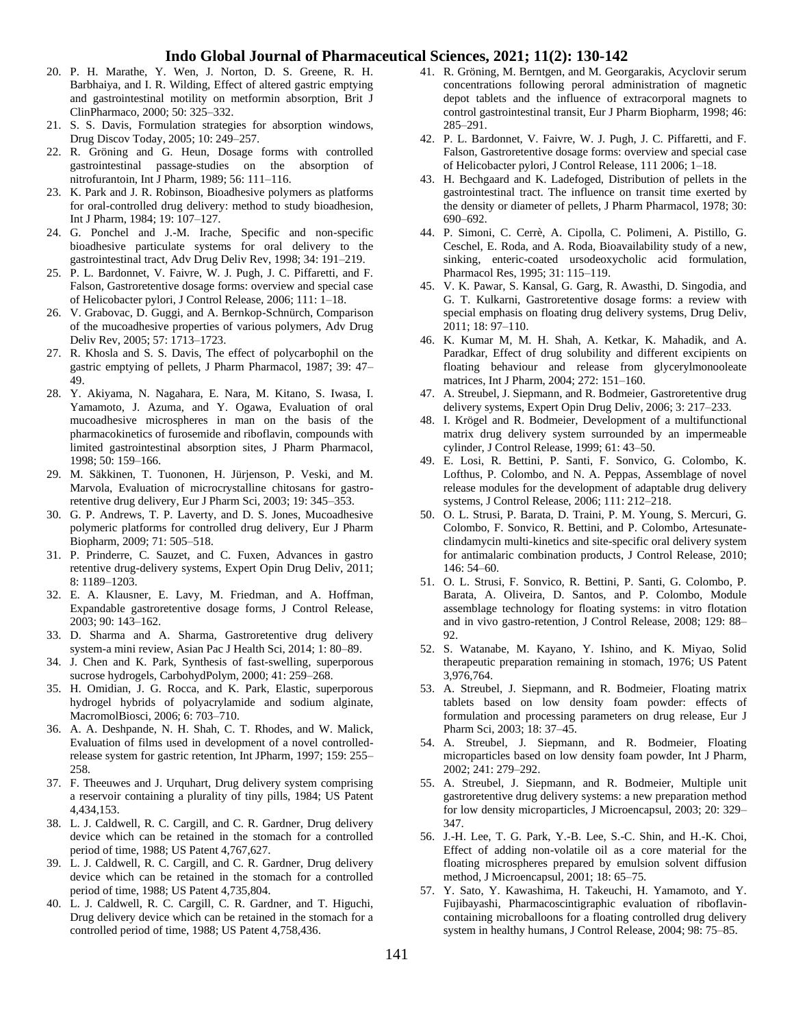- 20. P. H. Marathe, Y. Wen, J. Norton, D. S. Greene, R. H. Barbhaiya, and I. R. Wilding, Effect of altered gastric emptying and gastrointestinal motility on metformin absorption, Brit J ClinPharmaco, 2000; 50: 325–332.
- 21. S. S. Davis, Formulation strategies for absorption windows, Drug Discov Today, 2005; 10: 249–257.
- 22. R. Gröning and G. Heun, Dosage forms with controlled gastrointestinal passage-studies on the absorption of nitrofurantoin, Int J Pharm, 1989; 56: 111–116.
- 23. K. Park and J. R. Robinson, Bioadhesive polymers as platforms for oral-controlled drug delivery: method to study bioadhesion, Int J Pharm, 1984; 19: 107–127.
- 24. G. Ponchel and J.-M. Irache, Specific and non-specific bioadhesive particulate systems for oral delivery to the gastrointestinal tract, Adv Drug Deliv Rev, 1998; 34: 191–219.
- 25. P. L. Bardonnet, V. Faivre, W. J. Pugh, J. C. Piffaretti, and F. Falson, Gastroretentive dosage forms: overview and special case of Helicobacter pylori, J Control Release, 2006; 111: 1–18.
- 26. V. Grabovac, D. Guggi, and A. Bernkop-Schnürch, Comparison of the mucoadhesive properties of various polymers, Adv Drug Deliv Rev, 2005; 57: 1713–1723.
- 27. R. Khosla and S. S. Davis, The effect of polycarbophil on the gastric emptying of pellets, J Pharm Pharmacol, 1987; 39: 47– 49.
- 28. Y. Akiyama, N. Nagahara, E. Nara, M. Kitano, S. Iwasa, I. Yamamoto, J. Azuma, and Y. Ogawa, Evaluation of oral mucoadhesive microspheres in man on the basis of the pharmacokinetics of furosemide and riboflavin, compounds with limited gastrointestinal absorption sites, J Pharm Pharmacol, 1998; 50: 159–166.
- 29. M. Säkkinen, T. Tuononen, H. Jürjenson, P. Veski, and M. Marvola, Evaluation of microcrystalline chitosans for gastroretentive drug delivery, Eur J Pharm Sci, 2003; 19: 345–353.
- 30. G. P. Andrews, T. P. Laverty, and D. S. Jones, Mucoadhesive polymeric platforms for controlled drug delivery, Eur J Pharm Biopharm, 2009; 71: 505–518.
- 31. P. Prinderre, C. Sauzet, and C. Fuxen, Advances in gastro retentive drug-delivery systems, Expert Opin Drug Deliv, 2011; 8: 1189–1203.
- 32. E. A. Klausner, E. Lavy, M. Friedman, and A. Hoffman, Expandable gastroretentive dosage forms, J Control Release, 2003; 90: 143–162.
- 33. D. Sharma and A. Sharma, Gastroretentive drug delivery system-a mini review, Asian Pac J Health Sci, 2014; 1: 80–89.
- 34. J. Chen and K. Park, Synthesis of fast-swelling, superporous sucrose hydrogels, CarbohydPolym, 2000; 41: 259–268.
- 35. H. Omidian, J. G. Rocca, and K. Park, Elastic, superporous hydrogel hybrids of polyacrylamide and sodium alginate, MacromolBiosci, 2006; 6: 703–710.
- 36. A. A. Deshpande, N. H. Shah, C. T. Rhodes, and W. Malick, Evaluation of films used in development of a novel controlledrelease system for gastric retention, Int JPharm, 1997; 159: 255– 258.
- 37. F. Theeuwes and J. Urquhart, Drug delivery system comprising a reservoir containing a plurality of tiny pills, 1984; US Patent 4,434,153.
- 38. L. J. Caldwell, R. C. Cargill, and C. R. Gardner, Drug delivery device which can be retained in the stomach for a controlled period of time, 1988; US Patent 4,767,627.
- 39. L. J. Caldwell, R. C. Cargill, and C. R. Gardner, Drug delivery device which can be retained in the stomach for a controlled period of time, 1988; US Patent 4,735,804.
- 40. L. J. Caldwell, R. C. Cargill, C. R. Gardner, and T. Higuchi, Drug delivery device which can be retained in the stomach for a controlled period of time, 1988; US Patent 4,758,436.
- 41. R. Gröning, M. Berntgen, and M. Georgarakis, Acyclovir serum concentrations following peroral administration of magnetic depot tablets and the influence of extracorporal magnets to control gastrointestinal transit, Eur J Pharm Biopharm, 1998; 46: 285–291.
- 42. P. L. Bardonnet, V. Faivre, W. J. Pugh, J. C. Piffaretti, and F. Falson, Gastroretentive dosage forms: overview and special case of Helicobacter pylori, J Control Release, 111 2006; 1–18.
- 43. H. Bechgaard and K. Ladefoged, Distribution of pellets in the gastrointestinal tract. The influence on transit time exerted by the density or diameter of pellets, J Pharm Pharmacol, 1978; 30: 690–692.
- 44. P. Simoni, C. Cerrè, A. Cipolla, C. Polimeni, A. Pistillo, G. Ceschel, E. Roda, and A. Roda, Bioavailability study of a new, sinking, enteric-coated ursodeoxycholic acid formulation, Pharmacol Res, 1995; 31: 115–119.
- 45. V. K. Pawar, S. Kansal, G. Garg, R. Awasthi, D. Singodia, and G. T. Kulkarni, Gastroretentive dosage forms: a review with special emphasis on floating drug delivery systems, Drug Deliv, 2011; 18: 97–110.
- 46. K. Kumar M, M. H. Shah, A. Ketkar, K. Mahadik, and A. Paradkar, Effect of drug solubility and different excipients on floating behaviour and release from glycerylmonooleate matrices, Int J Pharm, 2004; 272: 151–160.
- 47. A. Streubel, J. Siepmann, and R. Bodmeier, Gastroretentive drug delivery systems, Expert Opin Drug Deliv, 2006; 3: 217–233.
- 48. I. Krögel and R. Bodmeier, Development of a multifunctional matrix drug delivery system surrounded by an impermeable cylinder, J Control Release, 1999; 61: 43–50.
- 49. E. Losi, R. Bettini, P. Santi, F. Sonvico, G. Colombo, K. Lofthus, P. Colombo, and N. A. Peppas, Assemblage of novel release modules for the development of adaptable drug delivery systems, J Control Release, 2006; 111: 212–218.
- 50. O. L. Strusi, P. Barata, D. Traini, P. M. Young, S. Mercuri, G. Colombo, F. Sonvico, R. Bettini, and P. Colombo, Artesunateclindamycin multi-kinetics and site-specific oral delivery system for antimalaric combination products, J Control Release, 2010; 146: 54–60.
- 51. O. L. Strusi, F. Sonvico, R. Bettini, P. Santi, G. Colombo, P. Barata, A. Oliveira, D. Santos, and P. Colombo, Module assemblage technology for floating systems: in vitro flotation and in vivo gastro-retention, J Control Release, 2008; 129: 88– 92.
- 52. S. Watanabe, M. Kayano, Y. Ishino, and K. Miyao, Solid therapeutic preparation remaining in stomach, 1976; US Patent 3,976,764.
- 53. A. Streubel, J. Siepmann, and R. Bodmeier, Floating matrix tablets based on low density foam powder: effects of formulation and processing parameters on drug release, Eur J Pharm Sci, 2003; 18: 37–45.
- 54. A. Streubel, J. Siepmann, and R. Bodmeier, Floating microparticles based on low density foam powder, Int J Pharm, 2002; 241: 279–292.
- 55. A. Streubel, J. Siepmann, and R. Bodmeier, Multiple unit gastroretentive drug delivery systems: a new preparation method for low density microparticles, J Microencapsul, 2003; 20: 329– 347.
- 56. J.-H. Lee, T. G. Park, Y.-B. Lee, S.-C. Shin, and H.-K. Choi, Effect of adding non-volatile oil as a core material for the floating microspheres prepared by emulsion solvent diffusion method, J Microencapsul, 2001; 18: 65–75.
- 57. Y. Sato, Y. Kawashima, H. Takeuchi, H. Yamamoto, and Y. Fujibayashi, Pharmacoscintigraphic evaluation of riboflavincontaining microballoons for a floating controlled drug delivery system in healthy humans, J Control Release, 2004; 98: 75–85.